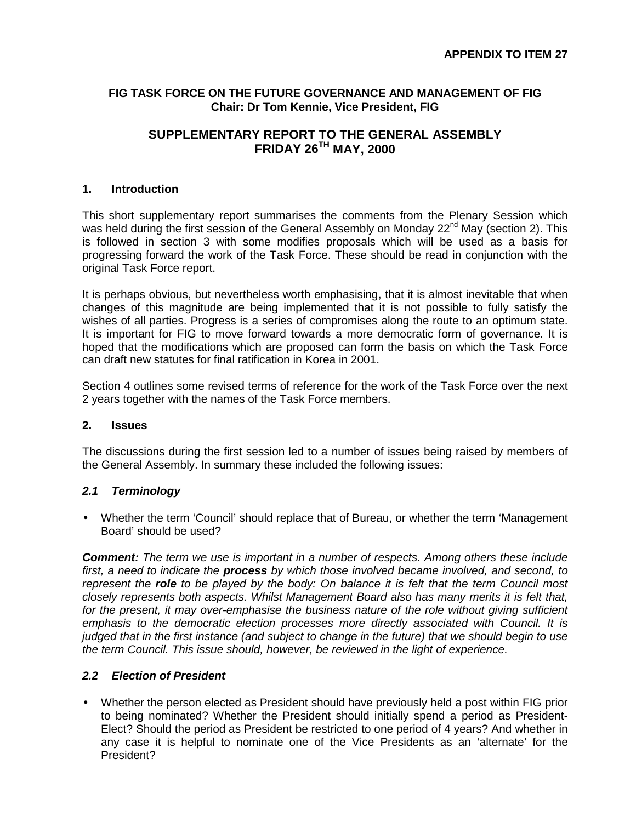#### **FIG TASK FORCE ON THE FUTURE GOVERNANCE AND MANAGEMENT OF FIG Chair: Dr Tom Kennie, Vice President, FIG**

# **SUPPLEMENTARY REPORT TO THE GENERAL ASSEMBLY FRIDAY 26TH MAY, 2000**

#### **1. Introduction**

This short supplementary report summarises the comments from the Plenary Session which was held during the first session of the General Assembly on Monday 22<sup>nd</sup> May (section 2). This is followed in section 3 with some modifies proposals which will be used as a basis for progressing forward the work of the Task Force. These should be read in conjunction with the original Task Force report.

It is perhaps obvious, but nevertheless worth emphasising, that it is almost inevitable that when changes of this magnitude are being implemented that it is not possible to fully satisfy the wishes of all parties. Progress is a series of compromises along the route to an optimum state. It is important for FIG to move forward towards a more democratic form of governance. It is hoped that the modifications which are proposed can form the basis on which the Task Force can draft new statutes for final ratification in Korea in 2001.

Section 4 outlines some revised terms of reference for the work of the Task Force over the next 2 years together with the names of the Task Force members.

#### **2. Issues**

The discussions during the first session led to a number of issues being raised by members of the General Assembly. In summary these included the following issues:

### *2.1 Terminology*

• Whether the term 'Council' should replace that of Bureau, or whether the term 'Management Board' should be used?

*Comment: The term we use is important in a number of respects. Among others these include first, a need to indicate the process by which those involved became involved, and second, to represent the role to be played by the body: On balance it is felt that the term Council most closely represents both aspects. Whilst Management Board also has many merits it is felt that, for the present, it may over-emphasise the business nature of the role without giving sufficient emphasis to the democratic election processes more directly associated with Council. It is judged that in the first instance (and subject to change in the future) that we should begin to use the term Council. This issue should, however, be reviewed in the light of experience.*

### *2.2 Election of President*

• Whether the person elected as President should have previously held a post within FIG prior to being nominated? Whether the President should initially spend a period as President-Elect? Should the period as President be restricted to one period of 4 years? And whether in any case it is helpful to nominate one of the Vice Presidents as an 'alternate' for the President?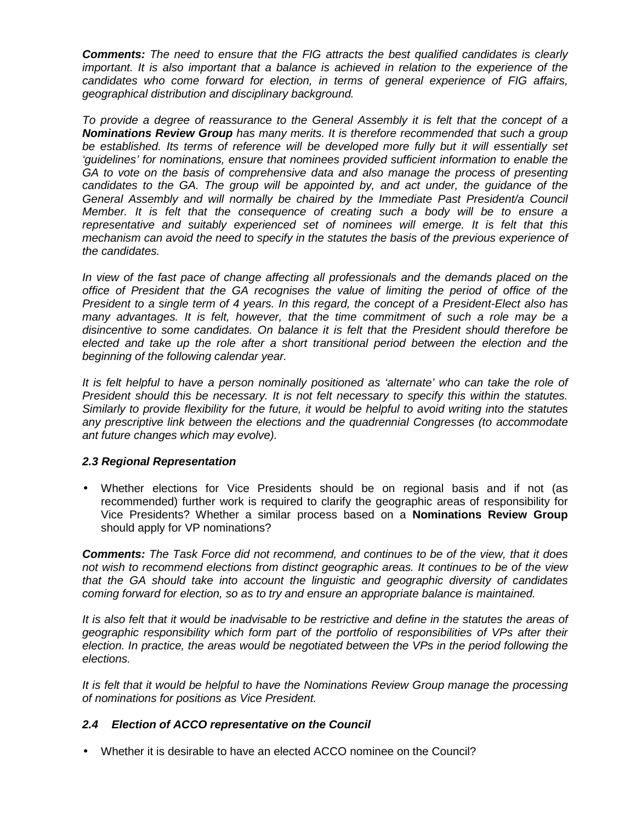*Comments: The need to ensure that the FIG attracts the best qualified candidates is clearly important. It is also important that a balance is achieved in relation to the experience of the candidates who come forward for election, in terms of general experience of FIG affairs, geographical distribution and disciplinary background.*

*To provide a degree of reassurance to the General Assembly it is felt that the concept of a Nominations Review Group has many merits. It is therefore recommended that such a group be established. Its terms of reference will be developed more fully but it will essentially set 'guidelines' for nominations, ensure that nominees provided sufficient information to enable the GA to vote on the basis of comprehensive data and also manage the process of presenting candidates to the GA. The group will be appointed by, and act under, the guidance of the General Assembly and will normally be chaired by the Immediate Past President/a Council Member. It is felt that the consequence of creating such a body will be to ensure a representative and suitably experienced set of nominees will emerge. It is felt that this mechanism can avoid the need to specify in the statutes the basis of the previous experience of the candidates.*

*In view of the fast pace of change affecting all professionals and the demands placed on the office of President that the GA recognises the value of limiting the period of office of the President to a single term of 4 years. In this regard, the concept of a President-Elect also has many advantages. It is felt, however, that the time commitment of such a role may be a disincentive to some candidates. On balance it is felt that the President should therefore be elected and take up the role after a short transitional period between the election and the beginning of the following calendar year.*

*It is felt helpful to have a person nominally positioned as 'alternate' who can take the role of President should this be necessary. It is not felt necessary to specify this within the statutes. Similarly to provide flexibility for the future, it would be helpful to avoid writing into the statutes any prescriptive link between the elections and the quadrennial Congresses (to accommodate ant future changes which may evolve).*

### *2.3 Regional Representation*

• Whether elections for Vice Presidents should be on regional basis and if not (as recommended) further work is required to clarify the geographic areas of responsibility for Vice Presidents? Whether a similar process based on a **Nominations Review Group** should apply for VP nominations?

*Comments: The Task Force did not recommend, and continues to be of the view, that it does not wish to recommend elections from distinct geographic areas. It continues to be of the view that the GA should take into account the linguistic and geographic diversity of candidates coming forward for election, so as to try and ensure an appropriate balance is maintained.*

*It is also felt that it would be inadvisable to be restrictive and define in the statutes the areas of geographic responsibility which form part of the portfolio of responsibilities of VPs after their election. In practice, the areas would be negotiated between the VPs in the period following the elections.*

*It is felt that it would be helpful to have the Nominations Review Group manage the processing of nominations for positions as Vice President.*

# *2.4 Election of ACCO representative on the Council*

• Whether it is desirable to have an elected ACCO nominee on the Council?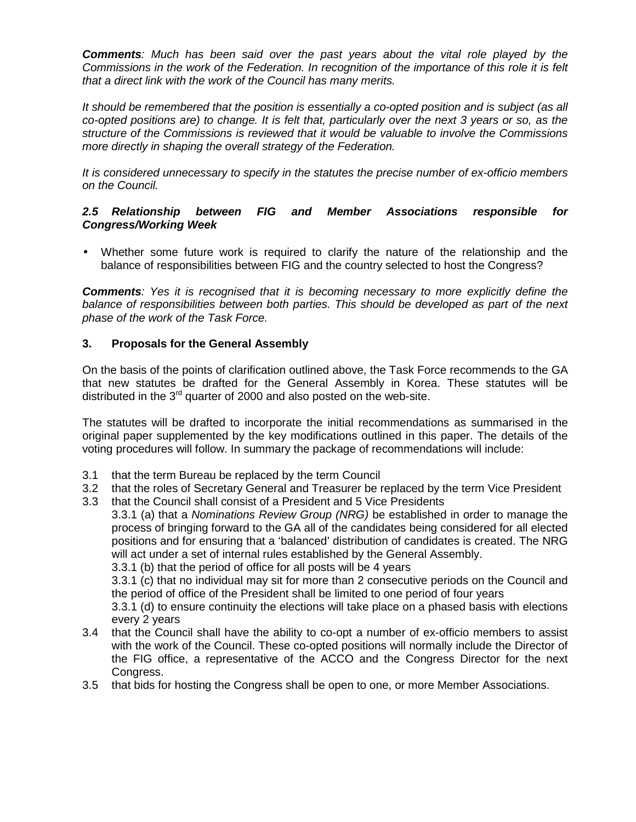*Comments: Much has been said over the past years about the vital role played by the Commissions in the work of the Federation. In recognition of the importance of this role it is felt that a direct link with the work of the Council has many merits.*

*It should be remembered that the position is essentially a co-opted position and is subject (as all co-opted positions are) to change. It is felt that, particularly over the next 3 years or so, as the structure of the Commissions is reviewed that it would be valuable to involve the Commissions more directly in shaping the overall strategy of the Federation.*

*It is considered unnecessary to specify in the statutes the precise number of ex-officio members on the Council.*

#### *2.5 Relationship between FIG and Member Associations responsible for Congress/Working Week*

• Whether some future work is required to clarify the nature of the relationship and the balance of responsibilities between FIG and the country selected to host the Congress?

*Comments: Yes it is recognised that it is becoming necessary to more explicitly define the balance of responsibilities between both parties. This should be developed as part of the next phase of the work of the Task Force.*

#### **3. Proposals for the General Assembly**

On the basis of the points of clarification outlined above, the Task Force recommends to the GA that new statutes be drafted for the General Assembly in Korea. These statutes will be distributed in the  $3<sup>rd</sup>$  quarter of 2000 and also posted on the web-site.

The statutes will be drafted to incorporate the initial recommendations as summarised in the original paper supplemented by the key modifications outlined in this paper. The details of the voting procedures will follow. In summary the package of recommendations will include:

- 3.1 that the term Bureau be replaced by the term Council
- 3.2 that the roles of Secretary General and Treasurer be replaced by the term Vice President
- 3.3 that the Council shall consist of a President and 5 Vice Presidents

3.3.1 (a) that a *Nominations Review Group (NRG)* be established in order to manage the process of bringing forward to the GA all of the candidates being considered for all elected positions and for ensuring that a 'balanced' distribution of candidates is created. The NRG will act under a set of internal rules established by the General Assembly.

3.3.1 (b) that the period of office for all posts will be 4 years

3.3.1 (c) that no individual may sit for more than 2 consecutive periods on the Council and the period of office of the President shall be limited to one period of four years

3.3.1 (d) to ensure continuity the elections will take place on a phased basis with elections every 2 years

- 3.4 that the Council shall have the ability to co-opt a number of ex-officio members to assist with the work of the Council. These co-opted positions will normally include the Director of the FIG office, a representative of the ACCO and the Congress Director for the next Congress.
- 3.5 that bids for hosting the Congress shall be open to one, or more Member Associations.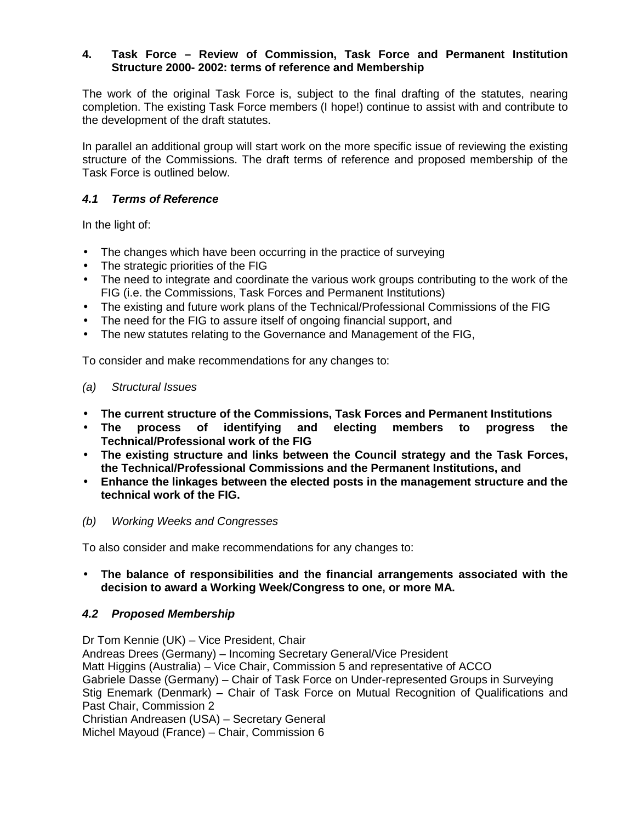### **4. Task Force – Review of Commission, Task Force and Permanent Institution Structure 2000- 2002: terms of reference and Membership**

The work of the original Task Force is, subject to the final drafting of the statutes, nearing completion. The existing Task Force members (I hope!) continue to assist with and contribute to the development of the draft statutes.

In parallel an additional group will start work on the more specific issue of reviewing the existing structure of the Commissions. The draft terms of reference and proposed membership of the Task Force is outlined below.

## *4.1 Terms of Reference*

In the light of:

- The changes which have been occurring in the practice of surveying
- The strategic priorities of the FIG
- The need to integrate and coordinate the various work groups contributing to the work of the FIG (i.e. the Commissions, Task Forces and Permanent Institutions)
- The existing and future work plans of the Technical/Professional Commissions of the FIG
- The need for the FIG to assure itself of ongoing financial support, and
- The new statutes relating to the Governance and Management of the FIG,

To consider and make recommendations for any changes to:

### *(a) Structural Issues*

- **The current structure of the Commissions, Task Forces and Permanent Institutions**
- **The process of identifying and electing members to progress the Technical/Professional work of the FIG**
- **The existing structure and links between the Council strategy and the Task Forces, the Technical/Professional Commissions and the Permanent Institutions, and**
- **Enhance the linkages between the elected posts in the management structure and the technical work of the FIG.**
- *(b) Working Weeks and Congresses*

To also consider and make recommendations for any changes to:

### • **The balance of responsibilities and the financial arrangements associated with the decision to award a Working Week/Congress to one, or more MA.**

### *4.2 Proposed Membership*

Dr Tom Kennie (UK) – Vice President, Chair Andreas Drees (Germany) – Incoming Secretary General/Vice President Matt Higgins (Australia) – Vice Chair, Commission 5 and representative of ACCO Gabriele Dasse (Germany) – Chair of Task Force on Under-represented Groups in Surveying Stig Enemark (Denmark) – Chair of Task Force on Mutual Recognition of Qualifications and Past Chair, Commission 2 Christian Andreasen (USA) – Secretary General

Michel Mayoud (France) – Chair, Commission 6